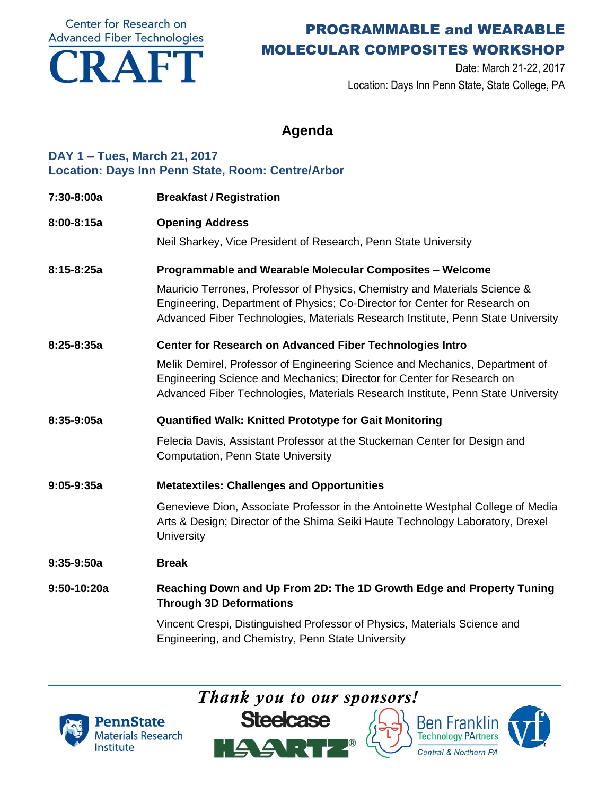**Center for Research on Advanced Fiber Technologies** 



## PROGRAMMABLE and WEARABLE MOLECULAR COMPOSITES WORKSHOP

Date: March 21-22, 2017 Location: Days Inn Penn State, State College, PA

### **Agenda**

#### **DAY 1 – Tues, March 21, 2017 Location: Days Inn Penn State, Room: Centre/Arbor**

- **7:30-8:00a Breakfast / Registration**
- **8:00-8:15a Opening Address**

Neil Sharkey, Vice President of Research, Penn State University

**8:15-8:25a Programmable and Wearable Molecular Composites – Welcome**

Mauricio Terrones, Professor of Physics, Chemistry and Materials Science & Engineering, Department of Physics; Co-Director for Center for Research on Advanced Fiber Technologies, Materials Research Institute, Penn State University

#### **8:25-8:35a Center for Research on Advanced Fiber Technologies Intro**

Melik Demirel, Professor of Engineering Science and Mechanics, Department of Engineering Science and Mechanics; Director for Center for Research on Advanced Fiber Technologies, Materials Research Institute, Penn State University

**8:35-9:05a Quantified Walk: Knitted Prototype for Gait Monitoring**

Felecia Davis, Assistant Professor at the Stuckeman Center for Design and Computation, Penn State University

**9:05-9:35a Metatextiles: Challenges and Opportunities**

Genevieve Dion, Associate Professor in the Antoinette Westphal College of Media Arts & Design; Director of the Shima Seiki Haute Technology Laboratory, Drexel **University** 

#### **9:35-9:50a Break**

**9:50-10:20a Reaching Down and Up From 2D: The 1D Growth Edge and Property Tuning Through 3D Deformations**

> Vincent Crespi, Distinguished Professor of Physics, Materials Science and Engineering, and Chemistry, Penn State University

> > *Thank you to our sponsors!*







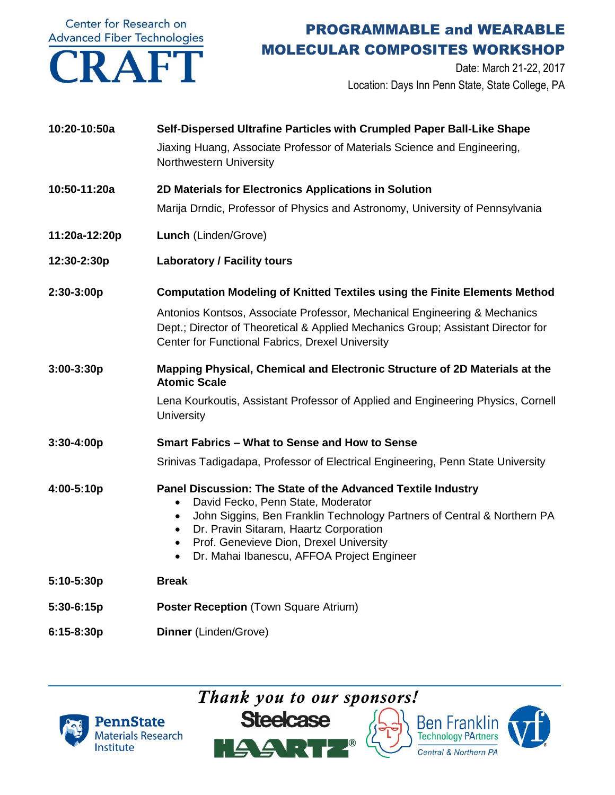Center for Research on



# PROGRAMMABLE and WEARABLE MOLECULAR COMPOSITES WORKSHOP

Date: March 21-22, 2017 Location: Days Inn Penn State, State College, PA

| 10:20-10:50a   | Self-Dispersed Ultrafine Particles with Crumpled Paper Ball-Like Shape<br>Jiaxing Huang, Associate Professor of Materials Science and Engineering,<br>Northwestern University                                                                                                                                                                           |
|----------------|---------------------------------------------------------------------------------------------------------------------------------------------------------------------------------------------------------------------------------------------------------------------------------------------------------------------------------------------------------|
| 10:50-11:20a   | 2D Materials for Electronics Applications in Solution<br>Marija Drndic, Professor of Physics and Astronomy, University of Pennsylvania                                                                                                                                                                                                                  |
| 11:20a-12:20p  | Lunch (Linden/Grove)                                                                                                                                                                                                                                                                                                                                    |
| 12:30-2:30p    | <b>Laboratory / Facility tours</b>                                                                                                                                                                                                                                                                                                                      |
| 2:30-3:00p     | <b>Computation Modeling of Knitted Textiles using the Finite Elements Method</b>                                                                                                                                                                                                                                                                        |
|                | Antonios Kontsos, Associate Professor, Mechanical Engineering & Mechanics<br>Dept.; Director of Theoretical & Applied Mechanics Group; Assistant Director for<br>Center for Functional Fabrics, Drexel University                                                                                                                                       |
| 3:00-3:30p     | Mapping Physical, Chemical and Electronic Structure of 2D Materials at the<br><b>Atomic Scale</b>                                                                                                                                                                                                                                                       |
|                | Lena Kourkoutis, Assistant Professor of Applied and Engineering Physics, Cornell<br><b>University</b>                                                                                                                                                                                                                                                   |
| $3:30 - 4:00p$ | <b>Smart Fabrics - What to Sense and How to Sense</b>                                                                                                                                                                                                                                                                                                   |
|                | Srinivas Tadigadapa, Professor of Electrical Engineering, Penn State University                                                                                                                                                                                                                                                                         |
| 4:00-5:10p     | Panel Discussion: The State of the Advanced Textile Industry<br>David Fecko, Penn State, Moderator<br>$\bullet$<br>John Siggins, Ben Franklin Technology Partners of Central & Northern PA<br>$\bullet$<br>Dr. Pravin Sitaram, Haartz Corporation<br>Prof. Genevieve Dion, Drexel University<br>Dr. Mahai Ibanescu, AFFOA Project Engineer<br>$\bullet$ |
| 5:10-5:30p     | <b>Break</b>                                                                                                                                                                                                                                                                                                                                            |
| 5:30-6:15p     | <b>Poster Reception (Town Square Atrium)</b>                                                                                                                                                                                                                                                                                                            |
| 6:15-8:30p     | Dinner (Linden/Grove)                                                                                                                                                                                                                                                                                                                                   |







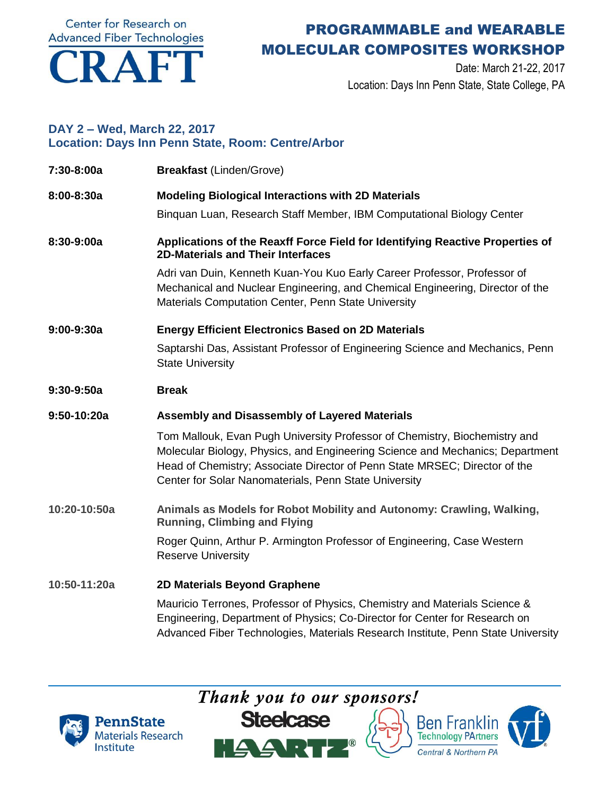Center for Research on **Advanced Fiber Technologies** 



# PROGRAMMABLE and WEARABLE MOLECULAR COMPOSITES WORKSHOP

Date: March 21-22, 2017 Location: Days Inn Penn State, State College, PA

### **DAY 2 – Wed, March 22, 2017 Location: Days Inn Penn State, Room: Centre/Arbor**

| 7:30-8:00a   | <b>Breakfast (Linden/Grove)</b>                                                                                                                                                                                                                                                                    |
|--------------|----------------------------------------------------------------------------------------------------------------------------------------------------------------------------------------------------------------------------------------------------------------------------------------------------|
| 8:00-8:30a   | <b>Modeling Biological Interactions with 2D Materials</b>                                                                                                                                                                                                                                          |
|              | Binguan Luan, Research Staff Member, IBM Computational Biology Center                                                                                                                                                                                                                              |
| 8:30-9:00a   | Applications of the Reaxff Force Field for Identifying Reactive Properties of<br><b>2D-Materials and Their Interfaces</b>                                                                                                                                                                          |
|              | Adri van Duin, Kenneth Kuan-You Kuo Early Career Professor, Professor of<br>Mechanical and Nuclear Engineering, and Chemical Engineering, Director of the<br>Materials Computation Center, Penn State University                                                                                   |
| $9:00-9:30a$ | <b>Energy Efficient Electronics Based on 2D Materials</b>                                                                                                                                                                                                                                          |
|              | Saptarshi Das, Assistant Professor of Engineering Science and Mechanics, Penn<br><b>State University</b>                                                                                                                                                                                           |
| $9:30-9:50a$ | <b>Break</b>                                                                                                                                                                                                                                                                                       |
| 9:50-10:20a  | Assembly and Disassembly of Layered Materials                                                                                                                                                                                                                                                      |
|              | Tom Mallouk, Evan Pugh University Professor of Chemistry, Biochemistry and<br>Molecular Biology, Physics, and Engineering Science and Mechanics; Department<br>Head of Chemistry; Associate Director of Penn State MRSEC; Director of the<br>Center for Solar Nanomaterials, Penn State University |
| 10:20-10:50a | Animals as Models for Robot Mobility and Autonomy: Crawling, Walking,<br><b>Running, Climbing and Flying</b>                                                                                                                                                                                       |
|              | Roger Quinn, Arthur P. Armington Professor of Engineering, Case Western<br><b>Reserve University</b>                                                                                                                                                                                               |
| 10:50-11:20a | 2D Materials Beyond Graphene                                                                                                                                                                                                                                                                       |
|              | Mauricio Terrones, Professor of Physics, Chemistry and Materials Science &<br>Engineering, Department of Physics; Co-Director for Center for Research on<br>Advanced Fiber Technologies, Materials Research Institute, Penn State University                                                       |

*Thank you to our sponsors!*